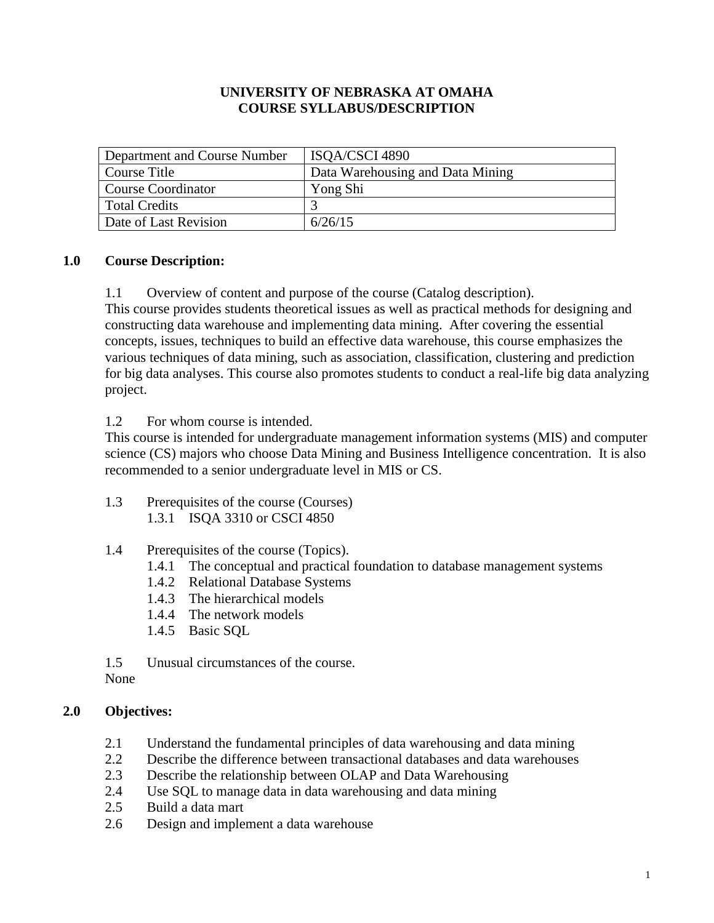## **UNIVERSITY OF NEBRASKA AT OMAHA COURSE SYLLABUS/DESCRIPTION**

| Department and Course Number | ISQA/CSCI 4890                   |
|------------------------------|----------------------------------|
| Course Title                 | Data Warehousing and Data Mining |
| <b>Course Coordinator</b>    | Yong Shi                         |
| <b>Total Credits</b>         |                                  |
| Date of Last Revision        | 6/26/15                          |

## **1.0 Course Description:**

1.1 Overview of content and purpose of the course (Catalog description).

This course provides students theoretical issues as well as practical methods for designing and constructing data warehouse and implementing data mining. After covering the essential concepts, issues, techniques to build an effective data warehouse, this course emphasizes the various techniques of data mining, such as association, classification, clustering and prediction for big data analyses. This course also promotes students to conduct a real-life big data analyzing project.

1.2 For whom course is intended.

This course is intended for undergraduate management information systems (MIS) and computer science (CS) majors who choose Data Mining and Business Intelligence concentration. It is also recommended to a senior undergraduate level in MIS or CS.

- 1.3 Prerequisites of the course (Courses) 1.3.1 ISQA 3310 or CSCI 4850
- 1.4 Prerequisites of the course (Topics).
	- 1.4.1 The conceptual and practical foundation to database management systems
	- 1.4.2 Relational Database Systems
	- 1.4.3 The hierarchical models
	- 1.4.4 The network models
	- 1.4.5 Basic SQL

1.5 Unusual circumstances of the course.

## None

#### **2.0 Objectives:**

- 2.1 Understand the fundamental principles of data warehousing and data mining
- 2.2 Describe the difference between transactional databases and data warehouses
- 2.3 Describe the relationship between OLAP and Data Warehousing
- 2.4 Use SQL to manage data in data warehousing and data mining
- 2.5 Build a data mart
- 2.6 Design and implement a data warehouse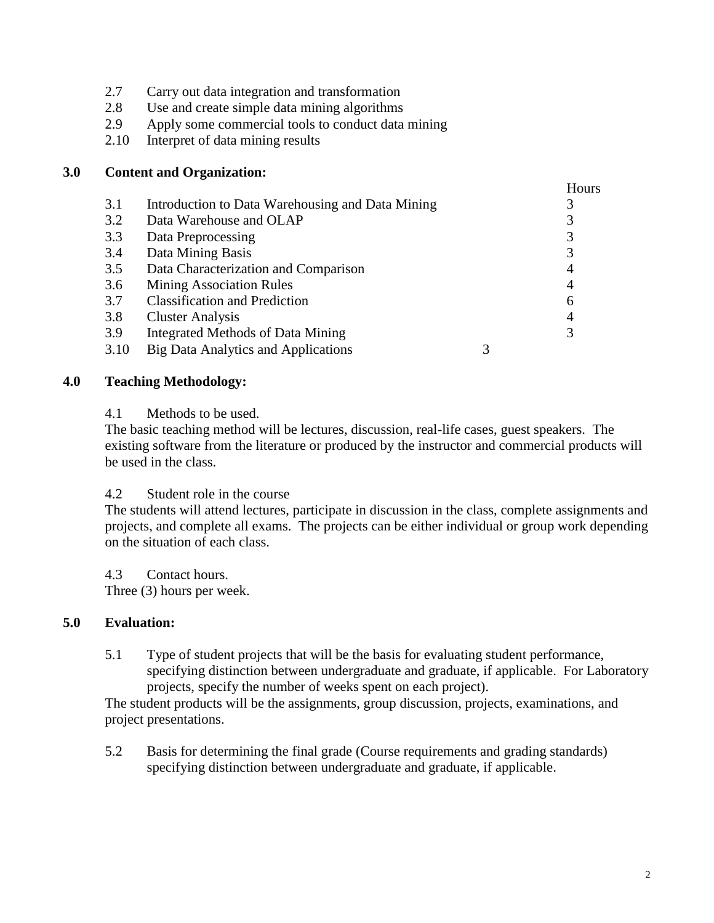- 2.7 Carry out data integration and transformation
- 2.8 Use and create simple data mining algorithms
- 2.9 Apply some commercial tools to conduct data mining
- 2.10 Interpret of data mining results

### **3.0 Content and Organization:**

|                                                  |   | Hours |
|--------------------------------------------------|---|-------|
| Introduction to Data Warehousing and Data Mining |   |       |
| Data Warehouse and OLAP                          |   |       |
| Data Preprocessing                               |   | 3     |
| Data Mining Basis                                |   | 3     |
| Data Characterization and Comparison             |   | 4     |
| <b>Mining Association Rules</b>                  |   | 4     |
| <b>Classification and Prediction</b>             |   | 6     |
| <b>Cluster Analysis</b>                          |   | 4     |
| Integrated Methods of Data Mining                |   | 3     |
| <b>Big Data Analytics and Applications</b>       | 3 |       |
|                                                  |   |       |

### **4.0 Teaching Methodology:**

#### 4.1 Methods to be used.

The basic teaching method will be lectures, discussion, real-life cases, guest speakers. The existing software from the literature or produced by the instructor and commercial products will be used in the class.

### 4.2 Student role in the course

The students will attend lectures, participate in discussion in the class, complete assignments and projects, and complete all exams. The projects can be either individual or group work depending on the situation of each class.

4.3 Contact hours. Three (3) hours per week.

#### **5.0 Evaluation:**

5.1 Type of student projects that will be the basis for evaluating student performance, specifying distinction between undergraduate and graduate, if applicable. For Laboratory projects, specify the number of weeks spent on each project).

The student products will be the assignments, group discussion, projects, examinations, and project presentations.

5.2 Basis for determining the final grade (Course requirements and grading standards) specifying distinction between undergraduate and graduate, if applicable.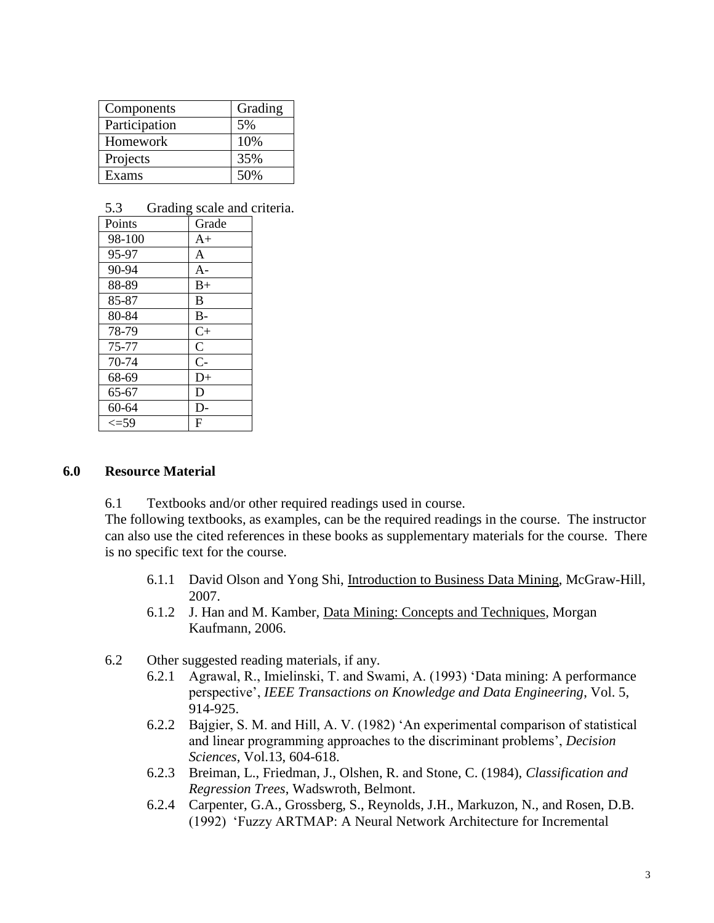| Components    | Grading |
|---------------|---------|
| Participation | 5%      |
| Homework      | 10%     |
| Projects      | 35%     |
| Exams         | 50%     |

### 5.3 Grading scale and criteria.

| Points    | Grade          |
|-----------|----------------|
| 98-100    | $A+$           |
| 95-97     | A              |
| 90-94     | $A-$           |
| 88-89     | $B+$           |
| 85-87     | B              |
| 80-84     | $B -$          |
| 78-79     | $C+$           |
| 75-77     | $\overline{C}$ |
| 70-74     | $\overline{C}$ |
| 68-69     | $D+$           |
| 65-67     | D              |
| 60-64     | D-             |
| $\bar{5}$ | F              |

#### **6.0 Resource Material**

6.1 Textbooks and/or other required readings used in course.

The following textbooks, as examples, can be the required readings in the course. The instructor can also use the cited references in these books as supplementary materials for the course. There is no specific text for the course.

- 6.1.1 David Olson and Yong Shi, Introduction to Business Data Mining, McGraw-Hill, 2007.
- 6.1.2 J. Han and M. Kamber, Data Mining: Concepts and Techniques, Morgan Kaufmann, 2006.
- 6.2 Other suggested reading materials, if any.
	- 6.2.1 Agrawal, R., Imielinski, T. and Swami, A. (1993) 'Data mining: A performance perspective', *IEEE Transactions on Knowledge and Data Engineering*, Vol. 5, 914-925.
	- 6.2.2 Bajgier, S. M. and Hill, A. V. (1982) 'An experimental comparison of statistical and linear programming approaches to the discriminant problems', *Decision Sciences*, Vol.13, 604-618.
	- 6.2.3 Breiman, L., Friedman, J., Olshen, R. and Stone, C. (1984), *Classification and Regression Trees*, Wadswroth, Belmont.
	- 6.2.4 Carpenter, G.A., Grossberg, S., Reynolds, J.H., Markuzon, N., and Rosen, D.B. (1992) 'Fuzzy ARTMAP: A Neural Network Architecture for Incremental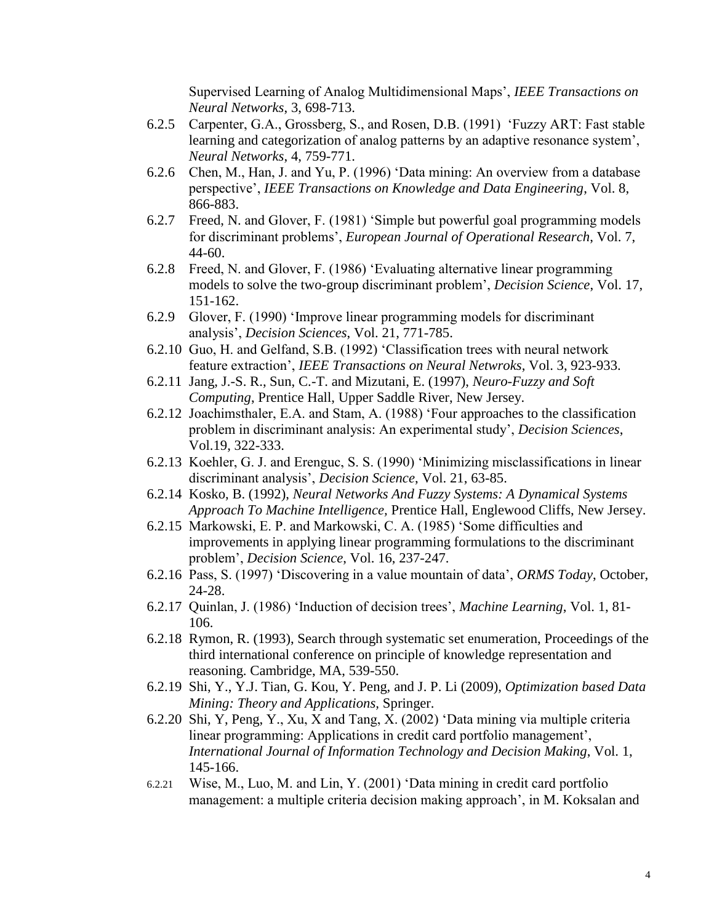Supervised Learning of Analog Multidimensional Maps', *IEEE Transactions on Neural Networks*, 3, 698-713.

- 6.2.5 Carpenter, G.A., Grossberg, S., and Rosen, D.B. (1991) 'Fuzzy ART: Fast stable learning and categorization of analog patterns by an adaptive resonance system', *Neural Networks*, 4, 759-771.
- 6.2.6 Chen, M., Han, J. and Yu, P. (1996) 'Data mining: An overview from a database perspective', *IEEE Transactions on Knowledge and Data Engineering*, Vol. 8, 866-883.
- 6.2.7 Freed, N. and Glover, F. (1981) 'Simple but powerful goal programming models for discriminant problems', *European Journal of Operational Research*, Vol. 7, 44-60.
- 6.2.8 Freed, N. and Glover, F. (1986) 'Evaluating alternative linear programming models to solve the two-group discriminant problem', *Decision Science*, Vol. 17, 151-162.
- 6.2.9 Glover, F. (1990) 'Improve linear programming models for discriminant analysis', *Decision Sciences*, Vol. 21, 771-785.
- 6.2.10 Guo, H. and Gelfand, S.B. (1992) 'Classification trees with neural network feature extraction', *IEEE Transactions on Neural Netwroks*, Vol. 3, 923-933.
- 6.2.11 Jang, J.-S. R., Sun, C.-T. and Mizutani, E. (1997), *Neuro-Fuzzy and Soft Computing*, Prentice Hall, Upper Saddle River, New Jersey.
- 6.2.12 Joachimsthaler, E.A. and Stam, A. (1988) 'Four approaches to the classification problem in discriminant analysis: An experimental study', *Decision Sciences*, Vol.19, 322-333.
- 6.2.13 Koehler, G. J. and Erenguc, S. S. (1990) 'Minimizing misclassifications in linear discriminant analysis', *Decision Science*, Vol. 21, 63-85.
- 6.2.14 Kosko, B. (1992), *Neural Networks And Fuzzy Systems: A Dynamical Systems Approach To Machine Intelligence,* Prentice Hall, Englewood Cliffs, New Jersey.
- 6.2.15 Markowski, E. P. and Markowski, C. A. (1985) 'Some difficulties and improvements in applying linear programming formulations to the discriminant problem', *Decision Science*, Vol. 16, 237-247.
- 6.2.16 Pass, S. (1997) 'Discovering in a value mountain of data', *ORMS Today*, October, 24-28.
- 6.2.17 Quinlan, J. (1986) 'Induction of decision trees', *Machine Learning*, Vol. 1, 81- 106.
- 6.2.18 Rymon, R. (1993), Search through systematic set enumeration, Proceedings of the third international conference on principle of knowledge representation and reasoning. Cambridge, MA, 539-550.
- 6.2.19 Shi, Y., Y.J. Tian, G. Kou, Y. Peng, and J. P. Li (2009), *Optimization based Data Mining: Theory and Applications,* Springer.
- 6.2.20 Shi, Y, Peng, Y., Xu, X and Tang, X. (2002) 'Data mining via multiple criteria linear programming: Applications in credit card portfolio management', *International Journal of Information Technology and Decision Making*, Vol. 1, 145-166.
- 6.2.21 Wise, M., Luo, M. and Lin, Y. (2001) 'Data mining in credit card portfolio management: a multiple criteria decision making approach', in M. Koksalan and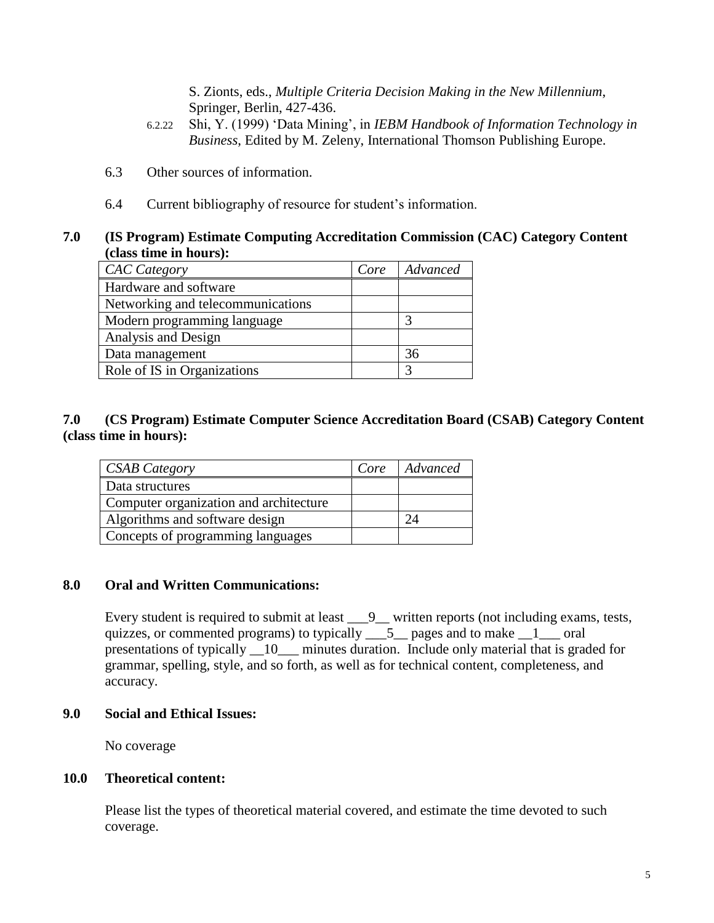S. Zionts, eds., *Multiple Criteria Decision Making in the New Millennium*, Springer, Berlin, 427-436.

- 6.2.22 Shi, Y. (1999) 'Data Mining', in *IEBM Handbook of Information Technology in Business*, Edited by M. Zeleny, International Thomson Publishing Europe.
- 6.3 Other sources of information.
- 6.4 Current bibliography of resource for student's information.

## **7.0 (IS Program) Estimate Computing Accreditation Commission (CAC) Category Content (class time in hours):**

| <b>CAC</b> Category               | Core | Advanced |
|-----------------------------------|------|----------|
| Hardware and software             |      |          |
| Networking and telecommunications |      |          |
| Modern programming language       |      |          |
| Analysis and Design               |      |          |
| Data management                   |      | 36       |
| Role of IS in Organizations       |      | 2        |

# **7.0 (CS Program) Estimate Computer Science Accreditation Board (CSAB) Category Content (class time in hours):**

| <b>CSAB Category</b>                   | Core | Advanced |
|----------------------------------------|------|----------|
| Data structures                        |      |          |
| Computer organization and architecture |      |          |
| Algorithms and software design         |      |          |
| Concepts of programming languages      |      |          |

## **8.0 Oral and Written Communications:**

Every student is required to submit at least  $\qquad 9$  written reports (not including exams, tests, quizzes, or commented programs) to typically  $\frac{1}{\sqrt{5}}$  pages and to make  $\frac{1}{\sqrt{5}}$  oral presentations of typically 10 minutes duration. Include only material that is graded for grammar, spelling, style, and so forth, as well as for technical content, completeness, and accuracy.

## **9.0 Social and Ethical Issues:**

No coverage

# **10.0 Theoretical content:**

Please list the types of theoretical material covered, and estimate the time devoted to such coverage.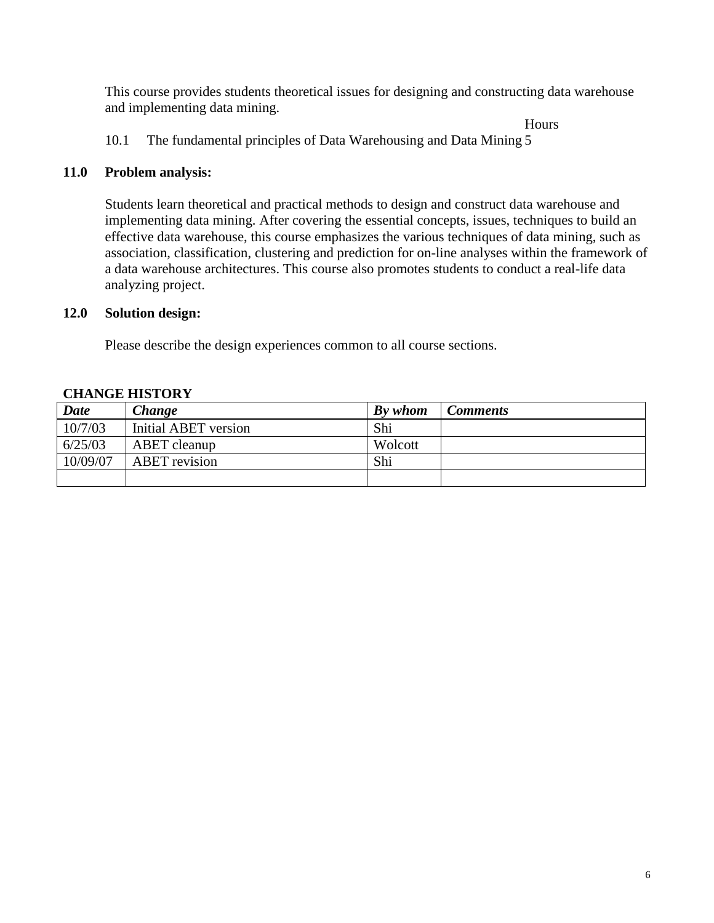This course provides students theoretical issues for designing and constructing data warehouse and implementing data mining.

**Hours** 

10.1 The fundamental principles of Data Warehousing and Data Mining 5

### **11.0 Problem analysis:**

Students learn theoretical and practical methods to design and construct data warehouse and implementing data mining. After covering the essential concepts, issues, techniques to build an effective data warehouse, this course emphasizes the various techniques of data mining, such as association, classification, clustering and prediction for on-line analyses within the framework of a data warehouse architectures. This course also promotes students to conduct a real-life data analyzing project.

### **12.0 Solution design:**

Please describe the design experiences common to all course sections.

|             | -------------------  |         |                 |
|-------------|----------------------|---------|-----------------|
| <b>Date</b> | Change               | By whom | <b>Comments</b> |
| 10/7/03     | Initial ABET version | Shi     |                 |
| 6/25/03     | ABET cleanup         | Wolcott |                 |
| 10/09/07    | <b>ABET</b> revision | Shi     |                 |
|             |                      |         |                 |

## **CHANGE HISTORY**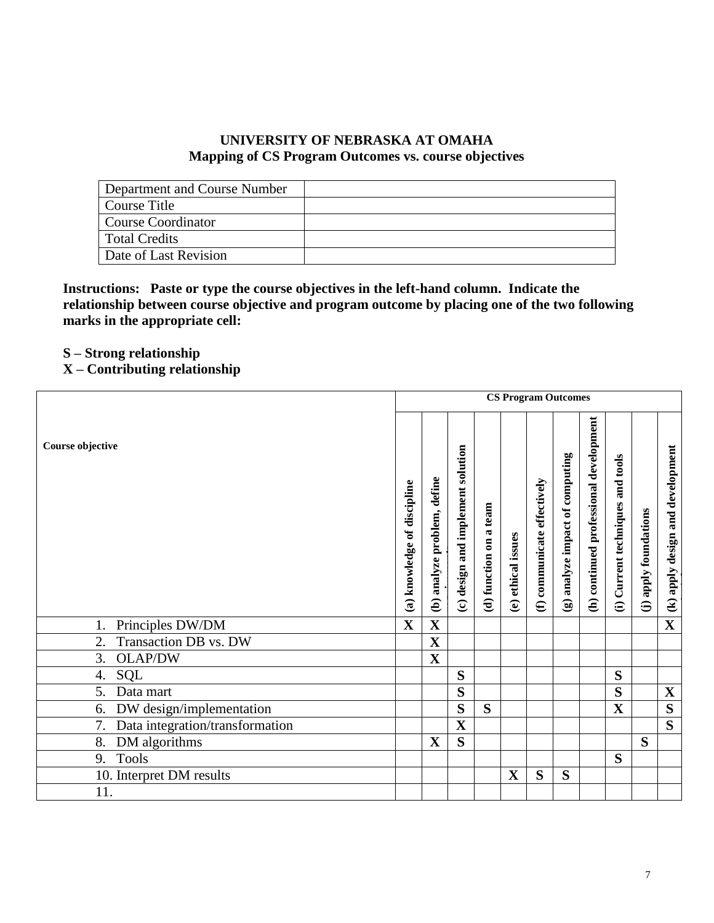### **UNIVERSITY OF NEBRASKA AT OMAHA Mapping of CS Program Outcomes vs. course objectives**

| Department and Course Number |  |
|------------------------------|--|
| Course Title                 |  |
| <b>Course Coordinator</b>    |  |
| <b>Total Credits</b>         |  |
| Date of Last Revision        |  |

**Instructions: Paste or type the course objectives in the left-hand column. Indicate the relationship between course objective and program outcome by placing one of the two following marks in the appropriate cell:**

**S – Strong relationship** 

# **X – Contributing relationship**

|                                    |                             | <b>CS Program Outcomes</b>  |                                   |                        |                    |                             |                                 |                                        |                                  |                       |                                  |
|------------------------------------|-----------------------------|-----------------------------|-----------------------------------|------------------------|--------------------|-----------------------------|---------------------------------|----------------------------------------|----------------------------------|-----------------------|----------------------------------|
| Course objective                   | (a) knowledge of discipline | (b) analyze problem, define | (c) design and implement solution | (d) function on a team | (e) ethical issues | (f) communicate effectively | (g) analyze impact of computing | (h) continued professional development | (i) Current techniques and tools | (j) apply foundations | (k) apply design and development |
| Principles DW/DM                   | $\overline{\mathbf{X}}$     | $\mathbf X$                 |                                   |                        |                    |                             |                                 |                                        |                                  |                       | $\mathbf{X}$                     |
| Transaction DB vs. DW<br>2.        |                             | $\mathbf X$                 |                                   |                        |                    |                             |                                 |                                        |                                  |                       |                                  |
| <b>OLAP/DW</b><br>3.               |                             | $\overline{\mathbf{X}}$     |                                   |                        |                    |                             |                                 |                                        |                                  |                       |                                  |
| <b>SQL</b><br>4.                   |                             |                             | S                                 |                        |                    |                             |                                 |                                        | S                                |                       |                                  |
| 5.<br>Data mart                    |                             |                             | S                                 |                        |                    |                             |                                 |                                        | S                                |                       | $\mathbf X$                      |
| DW design/implementation<br>6.     |                             |                             | S                                 | S                      |                    |                             |                                 |                                        | $\mathbf X$                      |                       | $\overline{\mathbf{S}}$          |
| 7. Data integration/transformation |                             |                             | $\mathbf X$                       |                        |                    |                             |                                 |                                        |                                  |                       | $\overline{\mathbf{S}}$          |
| DM algorithms<br>8.                |                             | $\mathbf X$                 | S                                 |                        |                    |                             |                                 |                                        |                                  | S                     |                                  |
| <b>Tools</b><br>9.                 |                             |                             |                                   |                        |                    |                             |                                 |                                        | S                                |                       |                                  |
| 10. Interpret DM results           |                             |                             |                                   |                        | $\mathbf X$        | S                           | S                               |                                        |                                  |                       |                                  |
| 11.                                |                             |                             |                                   |                        |                    |                             |                                 |                                        |                                  |                       |                                  |